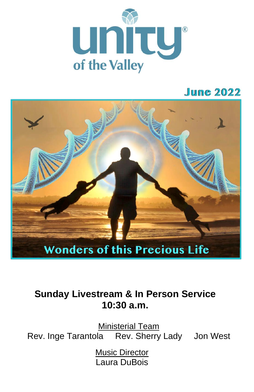

## **June 2022**



## **Sunday Livestream & In Person Service 10:30 a.m.**

Rev. Inge Tarantola Rev. Sherry Lady Jon West Ministerial Team

> **Music Director** Laura DuBois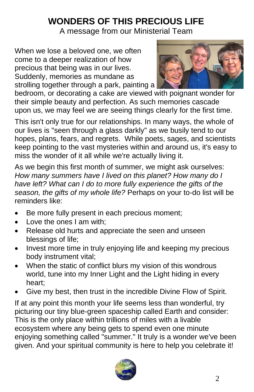# **WONDERS OF THIS PRECIOUS LIFE**

A message from our Ministerial Team

When we lose a beloved one, we often come to a deeper realization of how precious that being was in our lives. Suddenly, memories as mundane as strolling together through a park, painting a



bedroom, or decorating a cake are viewed with poignant wonder for their simple beauty and perfection. As such memories cascade upon us, we may feel we are seeing things clearly for the first time.

This isn't only true for our relationships. In many ways, the whole of our lives is "seen through a glass darkly" as we busily tend to our hopes, plans, fears, and regrets. While poets, sages, and scientists keep pointing to the vast mysteries within and around us, it's easy to miss the wonder of it all while we're actually living it.

As we begin this first month of summer, we might ask ourselves: *How many summers have I lived on this planet? How many do I have left? What can I do to more fully experience the gifts of the season, the gifts of my whole life?* Perhaps on your to-do list will be reminders like:

- Be more fully present in each precious moment;
- Love the ones I am with:
- Release old hurts and appreciate the seen and unseen blessings of life;
- Invest more time in truly enjoying life and keeping my precious body instrument vital;
- When the static of conflict blurs my vision of this wondrous world, tune into my Inner Light and the Light hiding in every heart;
- Give my best, then trust in the incredible Divine Flow of Spirit.

If at any point this month your life seems less than wonderful, try picturing our tiny blue-green spaceship called Earth and consider: This is the only place within trillions of miles with a livable ecosystem where any being gets to spend even one minute enjoying something called "summer." It truly is a wonder we've been given. And your spiritual community is here to help you celebrate it!

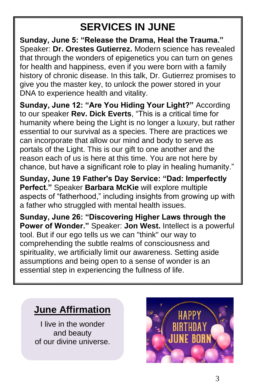# **SERVICES IN JUNE**

**Sunday, June 5: "Release the Drama, Heal the Trauma."**  Speaker: **Dr. Orestes Gutierrez.** Modern science has revealed that through the wonders of epigenetics you can turn on genes for health and happiness, even if you were born with a family history of chronic disease. In this talk, Dr. Gutierrez promises to give you the master key, to unlock the power stored in your DNA to experience health and vitality.

**Sunday, June 12: "Are You Hiding Your Light?"** According to our speaker **Rev. Dick Everts**, "This is a critical time for humanity where being the Light is no longer a luxury, but rather essential to our survival as a species. There are practices we can incorporate that allow our mind and body to serve as portals of the Light. This is our gift to one another and the reason each of us is here at this time. You are not here by chance, but have a significant role to play in healing humanity."

**Sunday, June 19 Father's Day Service: "Dad: Imperfectly Perfect."** Speaker **Barbara McKie** will explore multiple aspects of "fatherhood," including insights from growing up with a father who struggled with mental health issues.

**Sunday, June 26: "Discovering Higher Laws through the Power of Wonder."** Speaker: **Jon West.** Intellect is a powerful tool. But if our ego tells us we can "think" our way to comprehending the subtle realms of consciousness and spirituality, we artificially limit our awareness. Setting aside assumptions and being open to a sense of wonder is an essential step in experiencing the fullness of life.

## **June Affirmation**

I live in the wonder and beauty of our divine universe.

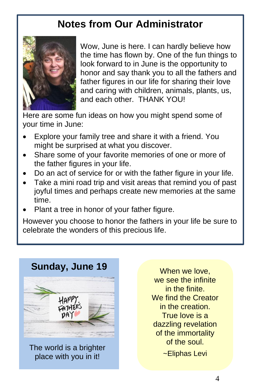# **Notes from Our Administrator**



Wow, June is here. I can hardly believe how the time has flown by. One of the fun things to look forward to in June is the opportunity to honor and say thank you to all the fathers and father figures in our life for sharing their love and caring with children, animals, plants, us, and each other. THANK YOU!

Here are some fun ideas on how you might spend some of your time in June:

- Explore your family tree and share it with a friend. You might be surprised at what you discover.
- Share some of your favorite memories of one or more of the father figures in your life.
- Do an act of service for or with the father figure in your life.
- Take a mini road trip and visit areas that remind you of past joyful times and perhaps create new memories at the same time.
- Plant a tree in honor of your father figure.

However you choose to honor the fathers in your life be sure to celebrate the wonders of this precious life.



The world is a brighter place with you in it!

When we love. we see the infinite in the finite. We find the Creator in the creation. True love is a dazzling revelation of the immortality of the soul.

~Eliphas Levi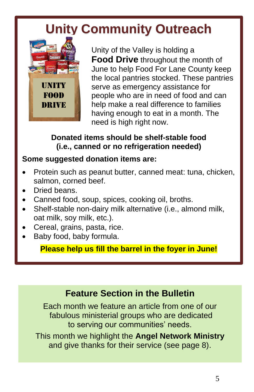# **Unity Community Outreach**



Unity of the Valley is holding a **Food Drive** throughout the month of June to help Food For Lane County keep the local pantries stocked. These pantries serve as emergency assistance for people who are in need of food and can help make a real difference to families having enough to eat in a month. The need is high right now.

### **Donated items should be shelf-stable food (i.e., canned or no refrigeration needed)**

### **Some suggested donation items are:**

- Protein such as peanut butter, canned meat: tuna, chicken, salmon, corned beef.
- Dried beans.
- Canned food, soup, spices, cooking oil, broths.
- Shelf-stable non-dairy milk alternative (i.e., almond milk, oat milk, soy milk, etc.).
- Cereal, grains, pasta, rice.
- Baby food, baby formula.

**Please help us fill the barrel in the foyer in June!**

## **Feature Section in the Bulletin**

Each month we feature an article from one of our fabulous ministerial groups who are dedicated to serving our communities' needs.

This month we highlight the **Angel Network Ministry** and give thanks for their service (see page 8).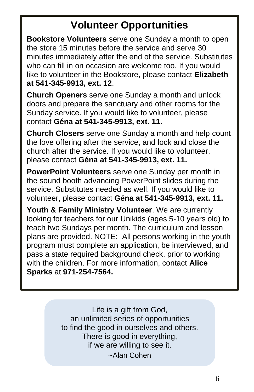# **Volunteer Opportunities**

**Bookstore Volunteers** serve one Sunday a month to open the store 15 minutes before the service and serve 30 minutes immediately after the end of the service. Substitutes who can fill in on occasion are welcome too. If you would like to volunteer in the Bookstore, please contact **Elizabeth at 541-345-9913, ext. 12**.

**Church Openers** serve one Sunday a month and unlock doors and prepare the sanctuary and other rooms for the Sunday service. If you would like to volunteer, please contact **Géna at 541-345-9913, ext. 11**.

**Church Closers** serve one Sunday a month and help count the love offering after the service, and lock and close the church after the service. If you would like to volunteer, please contact **Géna at 541-345-9913, ext. 11.**

**PowerPoint Volunteers** serve one Sunday per month in the sound booth advancing PowerPoint slides during the service. Substitutes needed as well. If you would like to volunteer, please contact **Géna at 541-345-9913, ext. 11.**

**Youth & Family Ministry Volunteer**. We are currently looking for teachers for our Unikids (ages 5-10 years old) to teach two Sundays per month. The curriculum and lesson plans are provided. NOTE: All persons working in the youth program must complete an application, be interviewed, and pass a state required background check, prior to working with the children. For more information, contact **Alice Sparks** at **971-254-7564.**

> Life is a gift from God, an unlimited series of opportunities to find the good in ourselves and others. There is good in everything, if we are willing to see it. ~Alan Cohen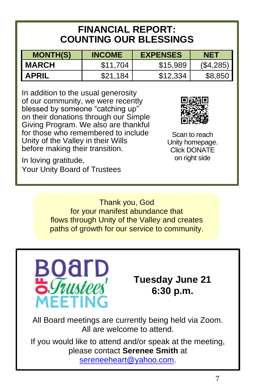## **FINANCIAL REPORT: COUNTING OUR BLESSINGS**

| <b>MONTH(S)</b> | <b>INCOME</b> | <b>EXPENSES</b> | NET       |
|-----------------|---------------|-----------------|-----------|
| <b>MARCH</b>    | \$11.704      | \$15,989        | (S4, 285) |
| <b>APRIL</b>    | \$21.184      | \$12.334        | \$8,850   |

In addition to the usual generosity of our community, we were recently blessed by someone "catching up" on their donations through our Simple Giving Program. We also are thankful for those who remembered to include Unity of the Valley in their Wills before making their transition.

In loving gratitude, Your Unity Board of Trustees



Scan to reach Unity homepage. Click DONATE on right side

Thank you, God for your manifest abundance that flows through Unity of the Valley and creates paths of growth for our service to community.



## **Tuesday June 21 6:30 p.m.**

All Board meetings are currently being held via Zoom. All are welcome to attend.

If you would like to attend and/or speak at the meeting, please contact **Serenee Smith** at

sereneeheart@yahoo.com.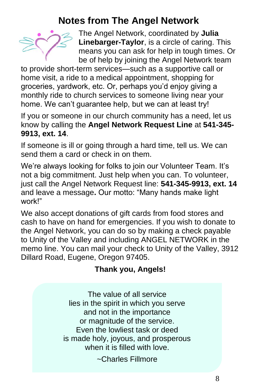## **Notes from The Angel Network**



The Angel Network, coordinated by **Julia Linebarger-Taylor**, is a circle of caring. This means you can ask for help in tough times. Or be of help by joining the Angel Network team

to provide short-term services—such as a supportive call or home visit, a ride to a medical appointment, shopping for groceries, yardwork, etc. Or, perhaps you'd enjoy giving a monthly ride to church services to someone living near your home. We can't guarantee help, but we can at least try!

If you or someone in our church community has a need, let us know by calling the **Angel Network Request Line** at **541-345- 9913, ext. 14**.

If someone is ill or going through a hard time, tell us. We can send them a card or check in on them.

We're always looking for folks to join our Volunteer Team. It's not a big commitment. Just help when you can. To volunteer, just call the Angel Network Request line: **541-345-9913, ext. 14** and leave a message**.** Our motto: "Many hands make light work!"

We also accept donations of gift cards from food stores and cash to have on hand for emergencies. If you wish to donate to the Angel Network, you can do so by making a check payable to Unity of the Valley and including ANGEL NETWORK in the memo line. You can mail your check to Unity of the Valley, 3912 Dillard Road, Eugene, Oregon 97405.

### **Thank you, Angels!**

The value of all service lies in the spirit in which you serve and not in the importance or magnitude of the service. Even the lowliest task or deed is made holy, joyous, and prosperous when it is filled with love.

~Charles Fillmore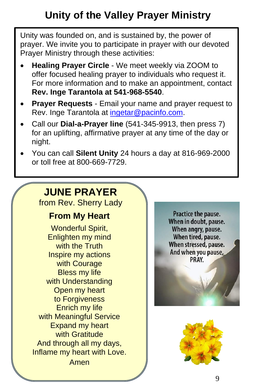# **Unity of the Valley Prayer Ministry**

Unity was founded on, and is sustained by, the power of prayer. We invite you to participate in prayer with our devoted Prayer Ministry through these activities:

- **Healing Prayer Circle** We meet weekly via ZOOM to offer focused healing prayer to individuals who request it. For more information and to make an appointment, contact **Rev. Inge Tarantola at 541-968-5540**.
- **Prayer Requests**  Email your name and prayer request to Rev. Inge Tarantola at ingetar@pacinfo.com.
- Call our **Dial-a-Prayer line** (541-345-9913, then press 7) for an uplifting, affirmative prayer at any time of the day or night.
- You can call **Silent Unity** 24 hours a day at 816-969-2000 or toll free at 800-669-7729.

# **JUNE PRAYER**

from Rev. Sherry Lady

### **From My Heart**

Wonderful Spirit, Enlighten my mind with the Truth Inspire my actions with Courage Bless my life with Understanding Open my heart to Forgiveness Enrich my life with Meaningful Service Expand my heart with Gratitude And through all my days, Inflame my heart with Love. Amen

Practice the pause. When in doubt, pause. When angry, pause. When tired, pause. When stressed, pause. And when you pause, PRAY.

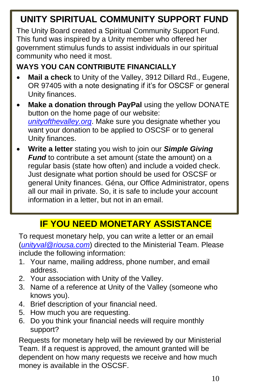# **UNITY SPIRITUAL COMMUNITY SUPPORT FUND**

The Unity Board created a Spiritual Community Support Fund. This fund was inspired by a Unity member who offered her government stimulus funds to assist individuals in our spiritual community who need it most.

### **WAYS YOU CAN CONTRIBUTE FINANCIALLY**

- **Mail a check** to Unity of the Valley, 3912 Dillard Rd., Eugene, OR 97405 with a note designating if it's for OSCSF or general Unity finances.
- **Make a donation through PayPal** using the yellow DONATE button on the home page of our website: *unityofthevalley.org*. Make sure you designate whether you want your donation to be applied to OSCSF or to general Unity finances.
- **Write a letter** stating you wish to join our *Simple Giving Fund* to contribute a set amount (state the amount) on a regular basis (state how often) and include a voided check. Just designate what portion should be used for OSCSF or general Unity finances. Géna, our Office Administrator, opens all our mail in private. So, it is safe to include your account information in a letter, but not in an email.

## **IF YOU NEED MONETARY ASSISTANCE**

To request monetary help, you can write a letter or an email (*unityval@riousa.com*) directed to the Ministerial Team. Please include the following information:

- 1. Your name, mailing address, phone number, and email address.
- 2. Your association with Unity of the Valley.
- 3. Name of a reference at Unity of the Valley (someone who knows you).
- 4. Brief description of your financial need.
- 5. How much you are requesting.
- 6. Do you think your financial needs will require monthly support?

Requests for monetary help will be reviewed by our Ministerial Team. If a request is approved, the amount granted will be dependent on how many requests we receive and how much money is available in the OSCSF.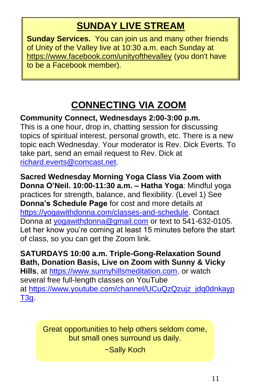## **SUNDAY LIVE STREAM**

**Sunday Services.** You can join us and many other friends of Unity of the Valley live at 10:30 a.m. each Sunday at https://www.facebook.com/unityofthevalley (you don't have to be a Facebook member).

# **CONNECTING VIA ZOOM**

**Community Connect, Wednesdays 2:00-3:00 p.m.**

This is a one hour, drop in, chatting session for discussing topics of spiritual interest, personal growth, etc. There is a new topic each Wednesday. Your moderator is Rev. Dick Everts. To take part, send an email request to Rev. Dick at richard.everts@comcast.net.

**Sacred Wednesday Morning Yoga Class Via Zoom with Donna O'Neil. 10:00-11:30 a.m. – Hatha Yoga**: Mindful yoga practices for strength, balance, and flexibility. (Level 1) See **Donna's Schedule Page** for cost and more details at https://yogawithdonna.com/classes-and-schedule. Contact Donna at yogawithdonna@gmail.com or text to 541-632-0105. Let her know you're coming at least 15 minutes before the start of class, so you can get the Zoom link.

**SATURDAYS 10:00 a.m. Triple-Gong-Relaxation Sound Bath, Donation Basis, Live on Zoom with Sunny & Vicky Hills**, at https://www.sunnyhillsmeditation.com, or watch several free full-length classes on YouTube at https://www.youtube.com/channel/UCuQzQzujz\_jdq0dnkayp T3g.

> Great opportunities to help others seldom come, but small ones surround us daily.

> > ~Sally Koch